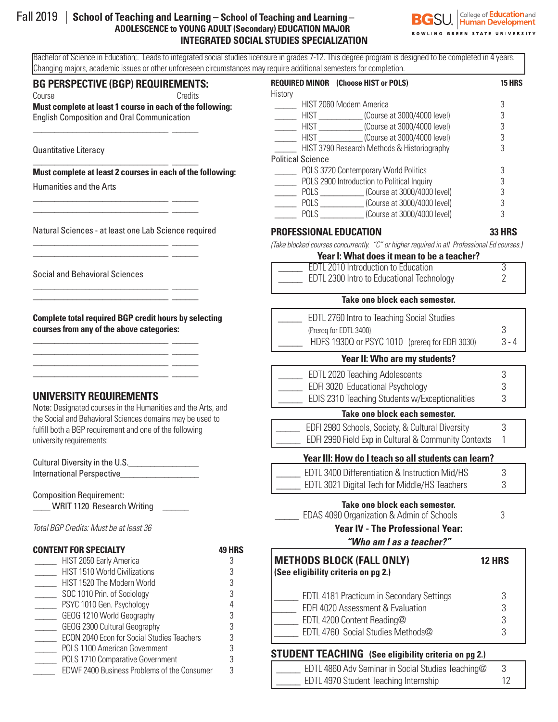# Fall 2019 | **School of Teaching and Learning – School of Teaching and Learning – ADOLESCENCE to YOUNG ADULT (Secondary) EDUCATION MAJOR INTEGRATED SOCIAL STUDIES SPECIALIZATION**



Bachelor of Science in Education;. Leads to integrated social studies licensure in grades 7-12. This degree program is designed to be completed in 4 years. Changing majors, academic issues or other unforeseen circumstances may require additional semesters for completion.

#### **BG PERSPECTIVE (BGP) REQUIREMENTS:**

\_\_\_\_\_\_\_\_\_\_\_\_\_\_\_\_\_\_\_\_\_\_\_\_\_\_\_\_\_\_\_ \_\_\_\_\_\_

\_\_\_\_\_\_\_\_\_\_\_\_\_\_\_\_\_\_\_\_\_\_\_\_\_\_\_\_\_\_\_ \_\_\_\_\_\_

\_\_\_\_\_\_\_\_\_\_\_\_\_\_\_\_\_\_\_\_\_\_\_\_\_\_\_\_\_\_\_ \_\_\_\_\_\_ \_\_\_\_\_\_\_\_\_\_\_\_\_\_\_\_\_\_\_\_\_\_\_\_\_\_\_\_\_\_\_ \_\_\_\_\_\_

\_\_\_\_\_\_\_\_\_\_\_\_\_\_\_\_\_\_\_\_\_\_\_\_\_\_\_\_\_\_\_ \_\_\_\_\_\_ \_\_\_\_\_\_\_\_\_\_\_\_\_\_\_\_\_\_\_\_\_\_\_\_\_\_\_\_\_\_\_ \_\_\_\_\_\_

\_\_\_\_\_\_\_\_\_\_\_\_\_\_\_\_\_\_\_\_\_\_\_\_\_\_\_\_\_\_\_ \_\_\_\_\_\_ \_\_\_\_\_\_\_\_\_\_\_\_\_\_\_\_\_\_\_\_\_\_\_\_\_\_\_\_\_\_\_ \_\_\_\_\_\_

\_\_\_\_\_\_\_\_\_\_\_\_\_\_\_\_\_\_\_\_\_\_\_\_\_\_\_\_\_\_\_ \_\_\_\_\_\_ \_\_\_\_\_\_\_\_\_\_\_\_\_\_\_\_\_\_\_\_\_\_\_\_\_\_\_\_\_\_\_ \_\_\_\_\_\_ \_\_\_\_\_\_\_\_\_\_\_\_\_\_\_\_\_\_\_\_\_\_\_\_\_\_\_\_\_\_\_ \_\_\_\_\_\_ \_\_\_\_\_\_\_\_\_\_\_\_\_\_\_\_\_\_\_\_\_\_\_\_\_\_\_\_\_\_\_ \_\_\_\_\_\_

Course Course Credits **Must complete at least 1 course in each of the following:**  English Composition and Oral Communication

Quantitative Literacy

#### **Must complete at least 2 courses in each of the following:**

Humanities and the Arts

Natural Sciences - at least one Lab Science required

Social and Behavioral Sciences

**Complete total required BGP credit hours by selecting courses from any of the above categories:**

# **UNIVERSITY REQUIREMENTS**

Note: Designated courses in the Humanities and the Arts, and the Social and Behavioral Sciences domains may be used to fulfill both a BGP requirement and one of the following university requirements:

| Cultural Diversity in the U.S. |  |
|--------------------------------|--|
| International Perspective      |  |

Composition Requirement: \_WRIT 1120 Research Writing \_

*Total BGP Credits: Must be at least 36*

#### **CONTENT FOR SPECIALTY 49 HRS** Lackson HIST 2050 Early America and the Second State 3 \_\_\_\_\_ HIST 1510 World Civilizations 3 Lackson HIST 1520 The Modern World 3 \_\_\_\_\_ SOC 1010 Prin. of Sociology 3 \_\_\_\_\_ PSYC 1010 Gen. Psychology 4 \_\_\_\_\_ GEOG 1210 World Geography 3 \_\_\_\_\_ GEOG 2300 Cultural Geography 3 ECON 2040 Econ for Social Studies Teachers 3 \_\_\_\_\_ POLS 1100 American Government 3 POLS 1710 Comparative Government 3 EDWF 2400 Business Problems of the Consumer 3

| <b>REQUIRED MINOR</b> (Choose HIST or POLS)       | 15 HRS |
|---------------------------------------------------|--------|
| History                                           |        |
| HIST 2060 Modern America                          | 3      |
| <b>HIST</b><br>(Course at 3000/4000 level)        |        |
| HIST<br>(Course at 3000/4000 level)               | 3      |
| <b>HIST</b><br>$\Box$ (Course at 3000/4000 level) |        |
| HIST 3790 Research Methods & Historiography       | 3      |
| <b>Political Science</b>                          |        |
| POLS 3720 Contemporary World Politics             |        |
| POLS 2900 Introduction to Political Inquiry       | 3      |
| (Course at 3000/4000 level)<br>POLS FOR THE POLY  |        |
| (Course at 3000/4000 level)<br>POLS               | 3      |
| (Course at 3000/4000 level)<br>POLS               |        |

# **PROFESSIONAL EDUCATION 33 HRS**

*(Take blocked courses concurrently. "C" or higher required in all Professional Ed courses.)*

| Year I: What does it mean to be a teacher? |  |
|--------------------------------------------|--|
| <b>EDTL 2010 Introduction to Education</b> |  |
| EDTL 2300 Intro to Educational Technology  |  |

#### **Take one block each semester.**

| EDTL 2760 Intro to Teaching Social Studies |                                                |         |
|--------------------------------------------|------------------------------------------------|---------|
|                                            | (Prereg for EDTL 3400)                         |         |
|                                            | HDFS 1930Q or PSYC 1010 (prereq for EDFI 3030) | $3 - 4$ |

#### **Year II: Who are my students?**

| EDTL 2020 Teaching Adolescents                 |  |
|------------------------------------------------|--|
| EDFI 3020 Educational Psychology               |  |
| EDIS 2310 Teaching Students w/Exceptionalities |  |
|                                                |  |

#### **Take one block each semester.**

| EDFI 2980 Schools, Society, & Cultural Diversity     |  |
|------------------------------------------------------|--|
| EDFI 2990 Field Exp in Cultural & Community Contexts |  |

## **Year III: How do I teach so all students can learn?**

| EDTL 3400 Differentiation & Instruction Mid/HS |  |
|------------------------------------------------|--|
| EDTL 3021 Digital Tech for Middle/HS Teachers  |  |

#### **Take one block each semester.**

| EDAS 4090 Organization & Admin of Schools |  |
|-------------------------------------------|--|

## **Year IV - The Professional Year:**

*"Who am I as a teacher?"* 

| <b>METHODS BLOCK (FALL ONLY)</b><br>(See eligibility criteria on pg 2.)                                                                                  | <b>12 HRS</b>    |
|----------------------------------------------------------------------------------------------------------------------------------------------------------|------------------|
| <b>EDTL 4181 Practicum in Secondary Settings</b><br>EDFI 4020 Assessment & Evaluation<br>EDTL 4200 Content Reading@<br>EDTL 4760 Social Studies Methods@ | 3<br>3<br>3<br>3 |
|                                                                                                                                                          |                  |

# **STUDENT TEACHING (See eligibility criteria on pg 2.)**

| EDTL 4860 Adv Seminar in Social Studies Teaching@ |  |
|---------------------------------------------------|--|
| EDTL 4970 Student Teaching Internship             |  |